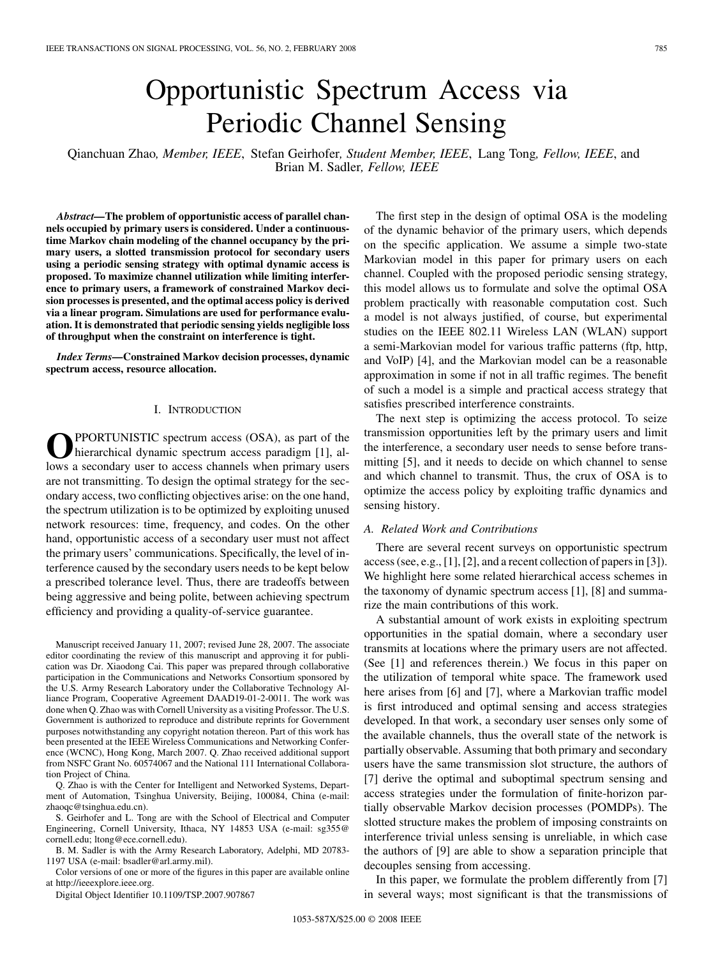# Opportunistic Spectrum Access via Periodic Channel Sensing

Qianchuan Zhao*, Member, IEEE*, Stefan Geirhofer*, Student Member, IEEE*, Lang Tong*, Fellow, IEEE*, and Brian M. Sadler*, Fellow, IEEE*

*Abstract—***The problem of opportunistic access of parallel channels occupied by primary users is considered. Under a continuoustime Markov chain modeling of the channel occupancy by the primary users, a slotted transmission protocol for secondary users using a periodic sensing strategy with optimal dynamic access is proposed. To maximize channel utilization while limiting interference to primary users, a framework of constrained Markov decision processes is presented, and the optimal access policy is derived via a linear program. Simulations are used for performance evaluation. It is demonstrated that periodic sensing yields negligible loss of throughput when the constraint on interference is tight.**

*Index Terms—***Constrained Markov decision processes, dynamic spectrum access, resource allocation.**

#### I. INTRODUCTION

PPORTUNISTIC spectrum access (OSA), as part of the hierarchical dynamic spectrum access paradigm [1], allows a secondary user to access channels when primary users are not transmitting. To design the optimal strategy for the secondary access, two conflicting objectives arise: on the one hand, the spectrum utilization is to be optimized by exploiting unused network resources: time, frequency, and codes. On the other hand, opportunistic access of a secondary user must not affect the primary users' communications. Specifically, the level of interference caused by the secondary users needs to be kept below a prescribed tolerance level. Thus, there are tradeoffs between being aggressive and being polite, between achieving spectrum efficiency and providing a quality-of-service guarantee.

Manuscript received January 11, 2007; revised June 28, 2007. The associate editor coordinating the review of this manuscript and approving it for publication was Dr. Xiaodong Cai. This paper was prepared through collaborative participation in the Communications and Networks Consortium sponsored by the U.S. Army Research Laboratory under the Collaborative Technology Alliance Program, Cooperative Agreement DAAD19-01-2-0011. The work was done when Q. Zhao was with Cornell University as a visiting Professor. The U.S. Government is authorized to reproduce and distribute reprints for Government purposes notwithstanding any copyright notation thereon. Part of this work has been presented at the IEEE Wireless Communications and Networking Conference (WCNC), Hong Kong, March 2007. Q. Zhao received additional support from NSFC Grant No. 60574067 and the National 111 International Collaboration Project of China.

Q. Zhao is with the Center for Intelligent and Networked Systems, Department of Automation, Tsinghua University, Beijing, 100084, China (e-mail: zhaoqc@tsinghua.edu.cn).

S. Geirhofer and L. Tong are with the School of Electrical and Computer Engineering, Cornell University, Ithaca, NY 14853 USA (e-mail: sg355@ cornell.edu; ltong@ece.cornell.edu).

B. M. Sadler is with the Army Research Laboratory, Adelphi, MD 20783- 1197 USA (e-mail: bsadler@arl.army.mil).

Color versions of one or more of the figures in this paper are available online at http://ieeexplore.ieee.org.

Digital Object Identifier 10.1109/TSP.2007.907867

The first step in the design of optimal OSA is the modeling of the dynamic behavior of the primary users, which depends on the specific application. We assume a simple two-state Markovian model in this paper for primary users on each channel. Coupled with the proposed periodic sensing strategy, this model allows us to formulate and solve the optimal OSA problem practically with reasonable computation cost. Such a model is not always justified, of course, but experimental studies on the IEEE 802.11 Wireless LAN (WLAN) support a semi-Markovian model for various traffic patterns (ftp, http, and VoIP) [4], and the Markovian model can be a reasonable approximation in some if not in all traffic regimes. The benefit of such a model is a simple and practical access strategy that satisfies prescribed interference constraints.

The next step is optimizing the access protocol. To seize transmission opportunities left by the primary users and limit the interference, a secondary user needs to sense before transmitting [5], and it needs to decide on which channel to sense and which channel to transmit. Thus, the crux of OSA is to optimize the access policy by exploiting traffic dynamics and sensing history.

#### *A. Related Work and Contributions*

There are several recent surveys on opportunistic spectrum access (see, e.g., [1], [2], and a recent collection of papers in [3]). We highlight here some related hierarchical access schemes in the taxonomy of dynamic spectrum access [1], [8] and summarize the main contributions of this work.

A substantial amount of work exists in exploiting spectrum opportunities in the spatial domain, where a secondary user transmits at locations where the primary users are not affected. (See [1] and references therein.) We focus in this paper on the utilization of temporal white space. The framework used here arises from [6] and [7], where a Markovian traffic model is first introduced and optimal sensing and access strategies developed. In that work, a secondary user senses only some of the available channels, thus the overall state of the network is partially observable. Assuming that both primary and secondary users have the same transmission slot structure, the authors of [7] derive the optimal and suboptimal spectrum sensing and access strategies under the formulation of finite-horizon partially observable Markov decision processes (POMDPs). The slotted structure makes the problem of imposing constraints on interference trivial unless sensing is unreliable, in which case the authors of [9] are able to show a separation principle that decouples sensing from accessing.

In this paper, we formulate the problem differently from [7] in several ways; most significant is that the transmissions of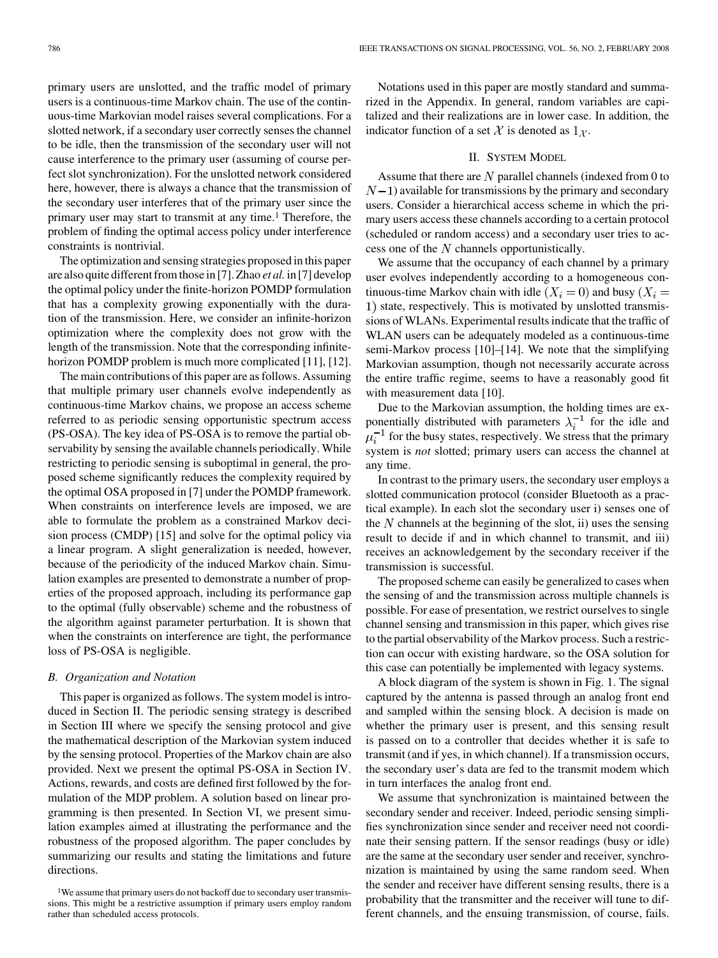primary users are unslotted, and the traffic model of primary users is a continuous-time Markov chain. The use of the continuous-time Markovian model raises several complications. For a slotted network, if a secondary user correctly senses the channel to be idle, then the transmission of the secondary user will not cause interference to the primary user (assuming of course perfect slot synchronization). For the unslotted network considered here, however, there is always a chance that the transmission of the secondary user interferes that of the primary user since the primary user may start to transmit at any time.<sup>1</sup> Therefore, the problem of finding the optimal access policy under interference constraints is nontrivial.

The optimization and sensing strategies proposed in this paper are also quite different from those in [7]. Zhao *et al.* in [7] develop the optimal policy under the finite-horizon POMDP formulation that has a complexity growing exponentially with the duration of the transmission. Here, we consider an infinite-horizon optimization where the complexity does not grow with the length of the transmission. Note that the corresponding infinitehorizon POMDP problem is much more complicated [11], [12].

The main contributions of this paper are as follows. Assuming that multiple primary user channels evolve independently as continuous-time Markov chains, we propose an access scheme referred to as periodic sensing opportunistic spectrum access (PS-OSA). The key idea of PS-OSA is to remove the partial observability by sensing the available channels periodically. While restricting to periodic sensing is suboptimal in general, the proposed scheme significantly reduces the complexity required by the optimal OSA proposed in [7] under the POMDP framework. When constraints on interference levels are imposed, we are able to formulate the problem as a constrained Markov decision process (CMDP) [15] and solve for the optimal policy via a linear program. A slight generalization is needed, however, because of the periodicity of the induced Markov chain. Simulation examples are presented to demonstrate a number of properties of the proposed approach, including its performance gap to the optimal (fully observable) scheme and the robustness of the algorithm against parameter perturbation. It is shown that when the constraints on interference are tight, the performance loss of PS-OSA is negligible.

## *B. Organization and Notation*

This paper is organized as follows. The system model is introduced in Section II. The periodic sensing strategy is described in Section III where we specify the sensing protocol and give the mathematical description of the Markovian system induced by the sensing protocol. Properties of the Markov chain are also provided. Next we present the optimal PS-OSA in Section IV. Actions, rewards, and costs are defined first followed by the formulation of the MDP problem. A solution based on linear programming is then presented. In Section VI, we present simulation examples aimed at illustrating the performance and the robustness of the proposed algorithm. The paper concludes by summarizing our results and stating the limitations and future directions.

Notations used in this paper are mostly standard and summarized in the Appendix. In general, random variables are capitalized and their realizations are in lower case. In addition, the indicator function of a set X is denoted as  $1_{\mathcal{X}}$ .

## II. SYSTEM MODEL

Assume that there are  $N$  parallel channels (indexed from 0 to  $(N-1)$  available for transmissions by the primary and secondary users. Consider a hierarchical access scheme in which the primary users access these channels according to a certain protocol (scheduled or random access) and a secondary user tries to access one of the  $N$  channels opportunistically.

We assume that the occupancy of each channel by a primary user evolves independently according to a homogeneous continuous-time Markov chain with idle  $(X_i = 0)$  and busy  $(X_i =$ 1) state, respectively. This is motivated by unslotted transmissions of WLANs. Experimental results indicate that the traffic of WLAN users can be adequately modeled as a continuous-time semi-Markov process [10]–[14]. We note that the simplifying Markovian assumption, though not necessarily accurate across the entire traffic regime, seems to have a reasonably good fit with measurement data [10].

Due to the Markovian assumption, the holding times are exponentially distributed with parameters  $\lambda_i^{-1}$  for the idle and  $\mu_i^{-1}$  for the busy states, respectively. We stress that the primary system is *not* slotted; primary users can access the channel at any time.

In contrast to the primary users, the secondary user employs a slotted communication protocol (consider Bluetooth as a practical example). In each slot the secondary user i) senses one of the  $N$  channels at the beginning of the slot, ii) uses the sensing result to decide if and in which channel to transmit, and iii) receives an acknowledgement by the secondary receiver if the transmission is successful.

The proposed scheme can easily be generalized to cases when the sensing of and the transmission across multiple channels is possible. For ease of presentation, we restrict ourselves to single channel sensing and transmission in this paper, which gives rise to the partial observability of the Markov process. Such a restriction can occur with existing hardware, so the OSA solution for this case can potentially be implemented with legacy systems.

A block diagram of the system is shown in Fig. 1. The signal captured by the antenna is passed through an analog front end and sampled within the sensing block. A decision is made on whether the primary user is present, and this sensing result is passed on to a controller that decides whether it is safe to transmit (and if yes, in which channel). If a transmission occurs, the secondary user's data are fed to the transmit modem which in turn interfaces the analog front end.

We assume that synchronization is maintained between the secondary sender and receiver. Indeed, periodic sensing simplifies synchronization since sender and receiver need not coordinate their sensing pattern. If the sensor readings (busy or idle) are the same at the secondary user sender and receiver, synchronization is maintained by using the same random seed. When the sender and receiver have different sensing results, there is a probability that the transmitter and the receiver will tune to different channels, and the ensuing transmission, of course, fails.

<sup>1</sup>We assume that primary users do not backoff due to secondary user transmissions. This might be a restrictive assumption if primary users employ random rather than scheduled access protocols.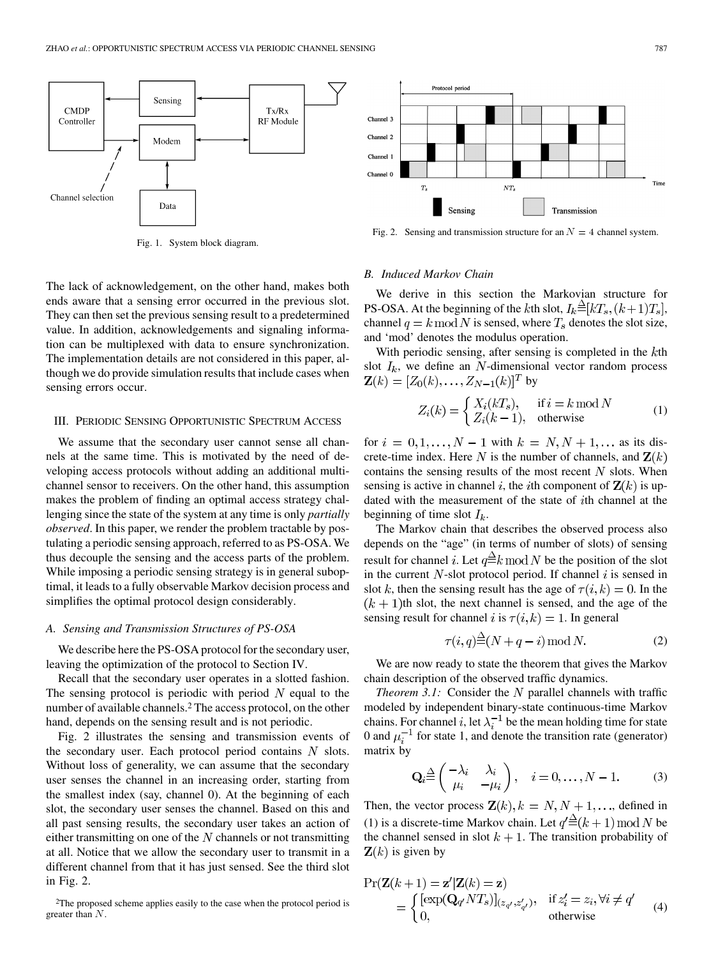

Fig. 1. System block diagram.

The lack of acknowledgement, on the other hand, makes both ends aware that a sensing error occurred in the previous slot. They can then set the previous sensing result to a predetermined value. In addition, acknowledgements and signaling information can be multiplexed with data to ensure synchronization. The implementation details are not considered in this paper, although we do provide simulation results that include cases when sensing errors occur.

#### III. PERIODIC SENSING OPPORTUNISTIC SPECTRUM ACCESS

We assume that the secondary user cannot sense all channels at the same time. This is motivated by the need of developing access protocols without adding an additional multichannel sensor to receivers. On the other hand, this assumption makes the problem of finding an optimal access strategy challenging since the state of the system at any time is only *partially observed*. In this paper, we render the problem tractable by postulating a periodic sensing approach, referred to as PS-OSA. We thus decouple the sensing and the access parts of the problem. While imposing a periodic sensing strategy is in general suboptimal, it leads to a fully observable Markov decision process and simplifies the optimal protocol design considerably.

#### *A. Sensing and Transmission Structures of PS-OSA*

We describe here the PS-OSA protocol for the secondary user, leaving the optimization of the protocol to Section IV.

Recall that the secondary user operates in a slotted fashion. The sensing protocol is periodic with period  $N$  equal to the number of available channels.2 The access protocol, on the other hand, depends on the sensing result and is not periodic.

Fig. 2 illustrates the sensing and transmission events of the secondary user. Each protocol period contains  $N$  slots. Without loss of generality, we can assume that the secondary user senses the channel in an increasing order, starting from the smallest index (say, channel 0). At the beginning of each slot, the secondary user senses the channel. Based on this and all past sensing results, the secondary user takes an action of either transmitting on one of the  $N$  channels or not transmitting at all. Notice that we allow the secondary user to transmit in a different channel from that it has just sensed. See the third slot in Fig. 2.

2The proposed scheme applies easily to the case when the protocol period is greater than N.



Fig. 2. Sensing and transmission structure for an  $N = 4$  channel system.

#### *B. Induced Markov Chain*

We derive in this section the Markovian structure for PS-OSA. At the beginning of the kth slot,  $I_k \equiv [kT_s, (k+1)T_s]$ , channel  $q = k \mod N$  is sensed, where  $T_s$  denotes the slot size, and 'mod' denotes the modulus operation.

With periodic sensing, after sensing is completed in the  $k$ th slot  $I_k$ , we define an N-dimensional vector random process  $\mathbf{Z}(k) = [Z_0(k), \ldots, Z_{N-1}(k)]^T$  by

$$
Z_i(k) = \begin{cases} X_i(kT_s), & \text{if } i = k \text{ mod } N\\ Z_i(k-1), & \text{otherwise} \end{cases}
$$
 (1)

for  $i = 0, 1, ..., N - 1$  with  $k = N, N + 1, ...$  as its discrete-time index. Here N is the number of channels, and  $\mathbf{Z}(k)$ contains the sensing results of the most recent  $N$  slots. When sensing is active in channel i, the ith component of  $\mathbf{Z}(k)$  is updated with the measurement of the state of  $i$ th channel at the beginning of time slot  $I_k$ .

The Markov chain that describes the observed process also depends on the "age" (in terms of number of slots) of sensing result for channel i. Let  $q \triangleq k \mod N$  be the position of the slot in the current  $N$ -slot protocol period. If channel  $i$  is sensed in slot k, then the sensing result has the age of  $\tau(i,k) = 0$ . In the  $(k + 1)$ th slot, the next channel is sensed, and the age of the sensing result for channel i is  $\tau(i,k) = 1$ . In general

$$
\tau(i,q) \triangleq (N+q-i) \bmod N. \tag{2}
$$

We are now ready to state the theorem that gives the Markov chain description of the observed traffic dynamics.

*Theorem 3.1:* Consider the  $N$  parallel channels with traffic modeled by independent binary-state continuous-time Markov chains. For channel i, let  $\lambda_i^{-1}$  be the mean holding time for state 0 and  $\mu_i^{-1}$  for state 1, and denote the transition rate (generator) matrix by

$$
\mathbf{Q}_i \stackrel{\Delta}{=} \begin{pmatrix} -\lambda_i & \lambda_i \\ \mu_i & -\mu_i \end{pmatrix}, \quad i = 0, \dots, N - 1.
$$
 (3)

Then, the vector process  $\mathbf{Z}(k)$ ,  $k = N, N + 1, \dots$ , defined in (1) is a discrete-time Markov chain. Let  $q' \triangleq (k+1) \mod N$  be the channel sensed in slot  $k + 1$ . The transition probability of  $\mathbf{Z}(k)$  is given by

$$
\Pr(\mathbf{Z}(k+1) = \mathbf{z}'|\mathbf{Z}(k) = \mathbf{z})
$$
\n
$$
= \begin{cases}\n[\exp(\mathbf{Q}_{q'}NT_s)]_{(z_{q'}, z'_{q'})}, & \text{if } z'_i = z_i, \forall i \neq q' \\
0, & \text{otherwise}\n\end{cases} (4)
$$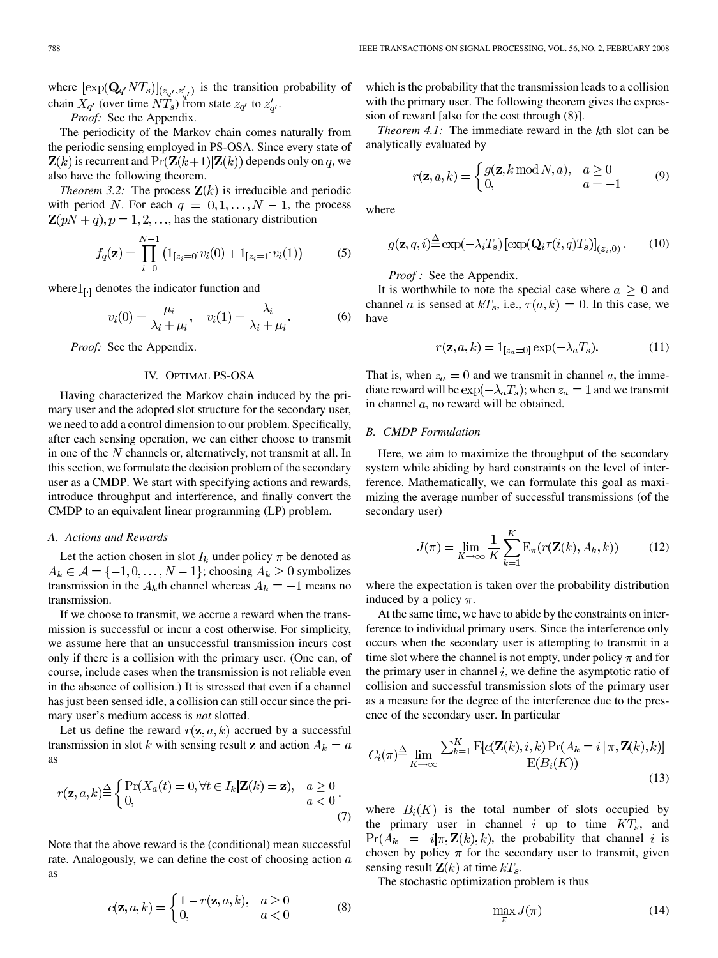where  $[\exp(\mathbf{Q}_{q'}NT_s)]_{(z_{q'},z'_{q'})}$  is the transition probability of chain  $X_{q'}$  (over time  $NT_s$ ) from state  $z_{q'}$  to  $z'_{q'}$ .

*Proof:* See the Appendix.

The periodicity of the Markov chain comes naturally from the periodic sensing employed in PS-OSA. Since every state of  $\mathbf{Z}(k)$  is recurrent and  $\Pr(\mathbf{Z}(k+1)|\mathbf{Z}(k))$  depends only on q, we also have the following theorem.

*Theorem 3.2:* The process  $\mathbf{Z}(k)$  is irreducible and periodic with period N. For each  $q = 0, 1, \ldots, N - 1$ , the process  $\mathbf{Z}(pN+q), p = 1, 2, \dots$ , has the stationary distribution

$$
f_q(\mathbf{z}) = \prod_{i=0}^{N-1} (1_{[z_i=0]}v_i(0) + 1_{[z_i=1]}v_i(1))
$$
 (5)

where  $1_{[1]}$  denotes the indicator function and

$$
v_i(0) = \frac{\mu_i}{\lambda_i + \mu_i}, \quad v_i(1) = \frac{\lambda_i}{\lambda_i + \mu_i}.
$$
 (6)

*Proof:* See the Appendix.

#### IV. OPTIMAL PS-OSA

Having characterized the Markov chain induced by the primary user and the adopted slot structure for the secondary user, we need to add a control dimension to our problem. Specifically, after each sensing operation, we can either choose to transmit in one of the  $N$  channels or, alternatively, not transmit at all. In this section, we formulate the decision problem of the secondary user as a CMDP. We start with specifying actions and rewards, introduce throughput and interference, and finally convert the CMDP to an equivalent linear programming (LP) problem.

## *A. Actions and Rewards*

Let the action chosen in slot  $I_k$  under policy  $\pi$  be denoted as  $A_k \in \mathcal{A} = \{-1, 0, \dots, N-1\}$ ; choosing  $A_k \geq 0$  symbolizes transmission in the  $A_k$ th channel whereas  $A_k = -1$  means no transmission.

If we choose to transmit, we accrue a reward when the transmission is successful or incur a cost otherwise. For simplicity, we assume here that an unsuccessful transmission incurs cost only if there is a collision with the primary user. (One can, of course, include cases when the transmission is not reliable even in the absence of collision.) It is stressed that even if a channel has just been sensed idle, a collision can still occur since the primary user's medium access is *not* slotted.

Let us define the reward  $r(\mathbf{z}, a, k)$  accrued by a successful transmission in slot k with sensing result **z** and action  $A_k = a$ as

$$
r(\mathbf{z}, a, k) \stackrel{\Delta}{=} \begin{cases} \Pr(X_a(t) = 0, \forall t \in I_k | \mathbf{Z}(k) = \mathbf{z}), & a \ge 0 \\ 0, & a < 0 \end{cases} \tag{7}
$$

Note that the above reward is the (conditional) mean successful rate. Analogously, we can define the cost of choosing action  $a$ as

$$
c(\mathbf{z}, a, k) = \begin{cases} 1 - r(\mathbf{z}, a, k), & a \ge 0 \\ 0, & a < 0 \end{cases}
$$
 (8)

which is the probability that the transmission leads to a collision with the primary user. The following theorem gives the expression of reward [also for the cost through (8)].

*Theorem 4.1:* The immediate reward in the kth slot can be analytically evaluated by

$$
r(\mathbf{z}, a, k) = \begin{cases} g(\mathbf{z}, k \bmod N, a), & a \ge 0 \\ 0, & a = -1 \end{cases}
$$
(9)

where

$$
g(\mathbf{z}, q, i) \stackrel{\Delta}{=} \exp(-\lambda_i T_s) \left[ \exp(\mathbf{Q}_i \tau(i, q) T_s) \right]_{(z_i, 0)}.
$$
 (10)

*Proof :* See the Appendix.

It is worthwhile to note the special case where  $a \geq 0$  and channel a is sensed at  $kT_s$ , i.e.,  $\tau(a, k) = 0$ . In this case, we have

$$
r(\mathbf{z}, a, k) = 1_{[z_a=0]} \exp(-\lambda_a T_s). \tag{11}
$$

That is, when  $z_a = 0$  and we transmit in channel a, the immediate reward will be  $\exp(-\lambda_a T_s)$ ; when  $z_a = 1$  and we transmit in channel  $a$ , no reward will be obtained.

## *B. CMDP Formulation*

Here, we aim to maximize the throughput of the secondary system while abiding by hard constraints on the level of interference. Mathematically, we can formulate this goal as maximizing the average number of successful transmissions (of the secondary user)

$$
J(\pi) = \lim_{K \to \infty} \frac{1}{K} \sum_{k=1}^{K} \mathcal{E}_{\pi}(r(\mathbf{Z}(k), A_k, k)) \tag{12}
$$

where the expectation is taken over the probability distribution induced by a policy  $\pi$ .

At the same time, we have to abide by the constraints on interference to individual primary users. Since the interference only occurs when the secondary user is attempting to transmit in a time slot where the channel is not empty, under policy  $\pi$  and for the primary user in channel  $i$ , we define the asymptotic ratio of collision and successful transmission slots of the primary user as a measure for the degree of the interference due to the presence of the secondary user. In particular

$$
C_i(\pi) \stackrel{\Delta}{=} \lim_{K \to \infty} \frac{\sum_{k=1}^K \mathbb{E}[c(\mathbf{Z}(k), i, k) \Pr(A_k = i \mid \pi, \mathbf{Z}(k), k)]}{\mathbb{E}(B_i(K))}
$$
(13)

where  $B_i(K)$  is the total number of slots occupied by the primary user in channel i up to time  $KT_s$ , and  $Pr(A_k = i | \pi, \mathbf{Z}(k), k)$ , the probability that channel i is chosen by policy  $\pi$  for the secondary user to transmit, given sensing result  $\mathbf{Z}(k)$  at time  $kT_s$ .

The stochastic optimization problem is thus

$$
\max_{\pi} J(\pi) \tag{14}
$$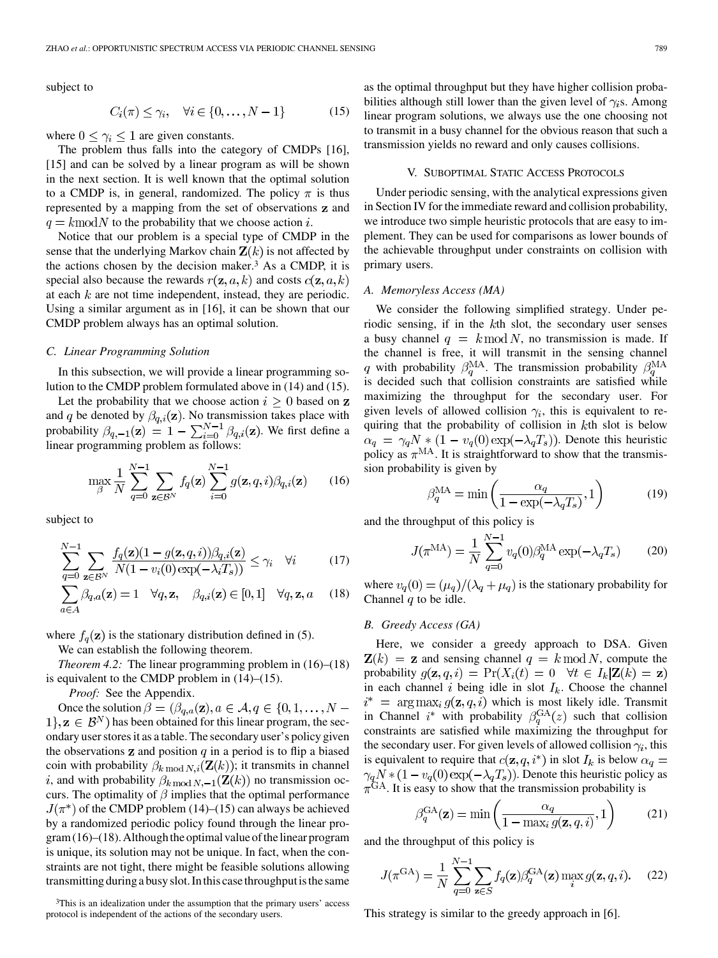subject to

$$
C_i(\pi) \le \gamma_i, \quad \forall i \in \{0, \dots, N-1\} \tag{15}
$$

where  $0 \leq \gamma_i \leq 1$  are given constants.

The problem thus falls into the category of CMDPs [16], [15] and can be solved by a linear program as will be shown in the next section. It is well known that the optimal solution to a CMDP is, in general, randomized. The policy  $\pi$  is thus represented by a mapping from the set of observations z and  $q = k \mod N$  to the probability that we choose action i.

Notice that our problem is a special type of CMDP in the sense that the underlying Markov chain  $\mathbf{Z}(k)$  is not affected by the actions chosen by the decision maker.3 As a CMDP, it is special also because the rewards  $r(\mathbf{z}, a, k)$  and costs  $c(\mathbf{z}, a, k)$ at each  $k$  are not time independent, instead, they are periodic. Using a similar argument as in [16], it can be shown that our CMDP problem always has an optimal solution.

## *C. Linear Programming Solution*

In this subsection, we will provide a linear programming solution to the CMDP problem formulated above in (14) and (15).

Let the probability that we choose action  $i \geq 0$  based on **z** and q be denoted by  $\beta_{q,i}(\mathbf{z})$ . No transmission takes place with probability  $\beta_{q,-1}(\mathbf{z}) = 1 - \sum_{i=0}^{N-1} \beta_{q,i}(\mathbf{z})$ . We first define a linear programming problem as follows:

$$
\max_{\beta} \frac{1}{N} \sum_{q=0}^{N-1} \sum_{\mathbf{z} \in \mathcal{B}^N} f_q(\mathbf{z}) \sum_{i=0}^{N-1} g(\mathbf{z}, q, i) \beta_{q, i}(\mathbf{z}) \qquad (16)
$$

subject to

$$
\sum_{q=0}^{N-1} \sum_{\mathbf{z} \in \mathcal{B}^N} \frac{f_q(\mathbf{z})(1 - g(\mathbf{z}, q, i)) \beta_{q,i}(\mathbf{z})}{N(1 - v_i(0) \exp(-\lambda_i T_s))} \le \gamma_i \quad \forall i \tag{17}
$$

$$
\sum_{a \in A} \beta_{q,a}(\mathbf{z}) = 1 \quad \forall q, \mathbf{z}, \quad \beta_{q,i}(\mathbf{z}) \in [0,1] \quad \forall q, \mathbf{z}, a \quad (18)
$$

where  $f_q(z)$  is the stationary distribution defined in (5).

We can establish the following theorem.

*Theorem 4.2:* The linear programming problem in  $(16)$ – $(18)$ is equivalent to the CMDP problem in (14)–(15).

*Proof:* See the Appendix.

Once the solution  $\beta = (\beta_{q,a}(\mathbf{z}), a \in \mathcal{A}, q \in \{0, 1, \dots, N - \}$  $1$ ,  $z \in \mathcal{B}^{N}$ ) has been obtained for this linear program, the secondary user stores it as a table. The secondary user's policy given the observations  $z$  and position  $q$  in a period is to flip a biased coin with probability  $\beta_{k \mod N, i}(\mathbf{Z}(k))$ ; it transmits in channel *i*, and with probability  $\beta_{k \mod N,-1}(\mathbf{Z}(k))$  no transmission occurs. The optimality of  $\beta$  implies that the optimal performance  $J(\pi^*)$  of the CMDP problem (14)–(15) can always be achieved by a randomized periodic policy found through the linear pro $gram(16)–(18)$ . Although the optimal value of the linear program is unique, its solution may not be unique. In fact, when the constraints are not tight, there might be feasible solutions allowing transmitting during a busy slot.Inthis case throughput is the same as the optimal throughput but they have higher collision probabilities although still lower than the given level of  $\gamma_i$ s. Among linear program solutions, we always use the one choosing not to transmit in a busy channel for the obvious reason that such a transmission yields no reward and only causes collisions.

## V. SUBOPTIMAL STATIC ACCESS PROTOCOLS

Under periodic sensing, with the analytical expressions given in Section IV for the immediate reward and collision probability, we introduce two simple heuristic protocols that are easy to implement. They can be used for comparisons as lower bounds of the achievable throughput under constraints on collision with primary users.

### *A. Memoryless Access (MA)*

We consider the following simplified strategy. Under periodic sensing, if in the  $k$ th slot, the secondary user senses a busy channel  $q = k \mod N$ , no transmission is made. If the channel is free, it will transmit in the sensing channel q with probability  $\beta_a^{\text{MA}}$ . The transmission probability  $\beta_a^{\text{MA}}$ is decided such that collision constraints are satisfied while maximizing the throughput for the secondary user. For given levels of allowed collision  $\gamma_i$ , this is equivalent to requiring that the probability of collision in  $k$ th slot is below  $\alpha_q = \gamma_q N * (1 - v_q(0) \exp(-\lambda_q T_s))$ . Denote this heuristic policy as  $\pi^{\text{MA}}$ . It is straightforward to show that the transmission probability is given by

$$
\beta_q^{\text{MA}} = \min\left(\frac{\alpha_q}{1 - \exp(-\lambda_q T_s)}, 1\right) \tag{19}
$$

and the throughput of this policy is

$$
J(\pi^{\text{MA}}) = \frac{1}{N} \sum_{q=0}^{N-1} v_q(0) \beta_q^{\text{MA}} \exp(-\lambda_q T_s)
$$
 (20)

where  $v_q(0) = (\mu_q)/(\lambda_q + \mu_q)$  is the stationary probability for Channel  $q$  to be idle.

#### *B. Greedy Access (GA)*

Here, we consider a greedy approach to DSA. Given  $\mathbf{Z}(k) = \mathbf{z}$  and sensing channel  $q = k \mod N$ , compute the probability  $g(\mathbf{z}, q, i) = \Pr(X_i(t) = 0 \quad \forall t \in I_k | \mathbf{Z}(k) = \mathbf{z})$ in each channel i being idle in slot  $I_k$ . Choose the channel  $i^*$  = arg max<sub>i</sub>  $g(\mathbf{z}, q, i)$  which is most likely idle. Transmit in Channel  $i^*$  with probability  $\beta_q^{\text{GA}}(z)$  such that collision constraints are satisfied while maximizing the throughput for the secondary user. For given levels of allowed collision  $\gamma_i$ , this is equivalent to require that  $c(\mathbf{z}, q, i^*)$  in slot  $I_k$  is below  $\alpha_q =$  $\gamma_q N * (1 - v_q(0) \exp(-\lambda_q T_s))$ . Denote this heuristic policy as  $\pi$ <sup>GA</sup>. It is easy to show that the transmission probability is

$$
\beta_q^{\text{GA}}(\mathbf{z}) = \min\left(\frac{\alpha_q}{1 - \max_i g(\mathbf{z}, q, i)}, 1\right) \tag{21}
$$

and the throughput of this policy is

$$
J(\pi^{\text{GA}}) = \frac{1}{N} \sum_{q=0}^{N-1} \sum_{\mathbf{z} \in S} f_q(\mathbf{z}) \beta_q^{\text{GA}}(\mathbf{z}) \max_i g(\mathbf{z}, q, i).
$$
 (22)

This strategy is similar to the greedy approach in [6].

<sup>3</sup>This is an idealization under the assumption that the primary users' access protocol is independent of the actions of the secondary users.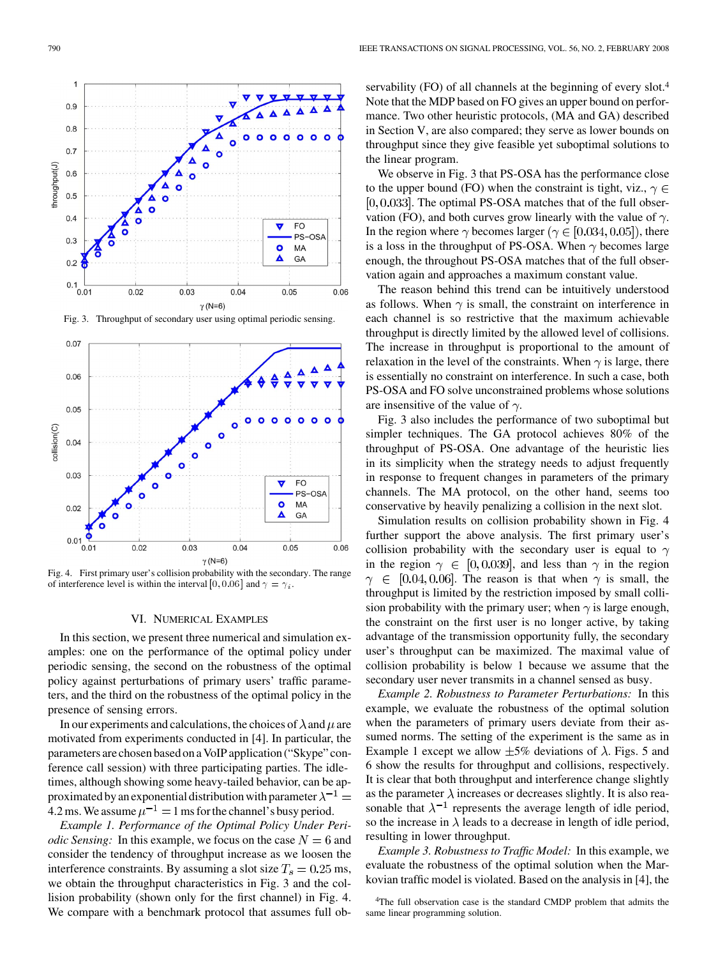Fig. 4. First primary user's collision probability with the secondary. The range of interference level is within the interval [0, 0.06] and  $\gamma = \gamma_i$ .

## VI. NUMERICAL EXAMPLES

In this section, we present three numerical and simulation examples: one on the performance of the optimal policy under periodic sensing, the second on the robustness of the optimal policy against perturbations of primary users' traffic parameters, and the third on the robustness of the optimal policy in the presence of sensing errors.

In our experiments and calculations, the choices of  $\lambda$  and  $\mu$  are motivated from experiments conducted in [4]. In particular, the parameters are chosen based on a VoIP application ("Skype" conference call session) with three participating parties. The idletimes, although showing some heavy-tailed behavior, can be approximated by an exponential distribution with parameter  $\lambda^{-1}$  = 4.2 ms. We assume  $\mu^{-1} = 1$  ms for the channel's busy period.

*Example 1. Performance of the Optimal Policy Under Periodic Sensing:* In this example, we focus on the case  $N = 6$  and consider the tendency of throughput increase as we loosen the interference constraints. By assuming a slot size  $T_s = 0.25$  ms, we obtain the throughput characteristics in Fig. 3 and the collision probability (shown only for the first channel) in Fig. 4. We compare with a benchmark protocol that assumes full observability (FO) of all channels at the beginning of every slot.<sup>4</sup> Note that the MDP based on FO gives an upper bound on performance. Two other heuristic protocols, (MA and GA) described in Section V, are also compared; they serve as lower bounds on throughput since they give feasible yet suboptimal solutions to the linear program.

We observe in Fig. 3 that PS-OSA has the performance close to the upper bound (FO) when the constraint is tight, viz.,  $\gamma \in$  $[0, 0.033]$ . The optimal PS-OSA matches that of the full observation (FO), and both curves grow linearly with the value of  $\gamma$ . In the region where  $\gamma$  becomes larger ( $\gamma \in [0.034, 0.05]$ ), there is a loss in the throughput of PS-OSA. When  $\gamma$  becomes large enough, the throughout PS-OSA matches that of the full observation again and approaches a maximum constant value.

The reason behind this trend can be intuitively understood as follows. When  $\gamma$  is small, the constraint on interference in each channel is so restrictive that the maximum achievable throughput is directly limited by the allowed level of collisions. The increase in throughput is proportional to the amount of relaxation in the level of the constraints. When  $\gamma$  is large, there is essentially no constraint on interference. In such a case, both PS-OSA and FO solve unconstrained problems whose solutions are insensitive of the value of  $\gamma$ .

Fig. 3 also includes the performance of two suboptimal but simpler techniques. The GA protocol achieves 80% of the throughput of PS-OSA. One advantage of the heuristic lies in its simplicity when the strategy needs to adjust frequently in response to frequent changes in parameters of the primary channels. The MA protocol, on the other hand, seems too conservative by heavily penalizing a collision in the next slot.

Simulation results on collision probability shown in Fig. 4 further support the above analysis. The first primary user's collision probability with the secondary user is equal to  $\gamma$ in the region  $\gamma \in [0, 0.039]$ , and less than  $\gamma$  in the region  $\gamma \in [0.04, 0.06]$ . The reason is that when  $\gamma$  is small, the throughput is limited by the restriction imposed by small collision probability with the primary user; when  $\gamma$  is large enough, the constraint on the first user is no longer active, by taking advantage of the transmission opportunity fully, the secondary user's throughput can be maximized. The maximal value of collision probability is below 1 because we assume that the secondary user never transmits in a channel sensed as busy.

*Example 2. Robustness to Parameter Perturbations:* In this example, we evaluate the robustness of the optimal solution when the parameters of primary users deviate from their assumed norms. The setting of the experiment is the same as in Example 1 except we allow  $\pm 5\%$  deviations of  $\lambda$ . Figs. 5 and 6 show the results for throughput and collisions, respectively. It is clear that both throughput and interference change slightly as the parameter  $\lambda$  increases or decreases slightly. It is also reasonable that  $\lambda^{-1}$  represents the average length of idle period, so the increase in  $\lambda$  leads to a decrease in length of idle period, resulting in lower throughput.

*Example 3. Robustness to Traffic Model:* In this example, we evaluate the robustness of the optimal solution when the Markovian traffic model is violated. Based on the analysis in [4], the





<sup>&</sup>lt;sup>4</sup>The full observation case is the standard CMDP problem that admits the same linear programming solution.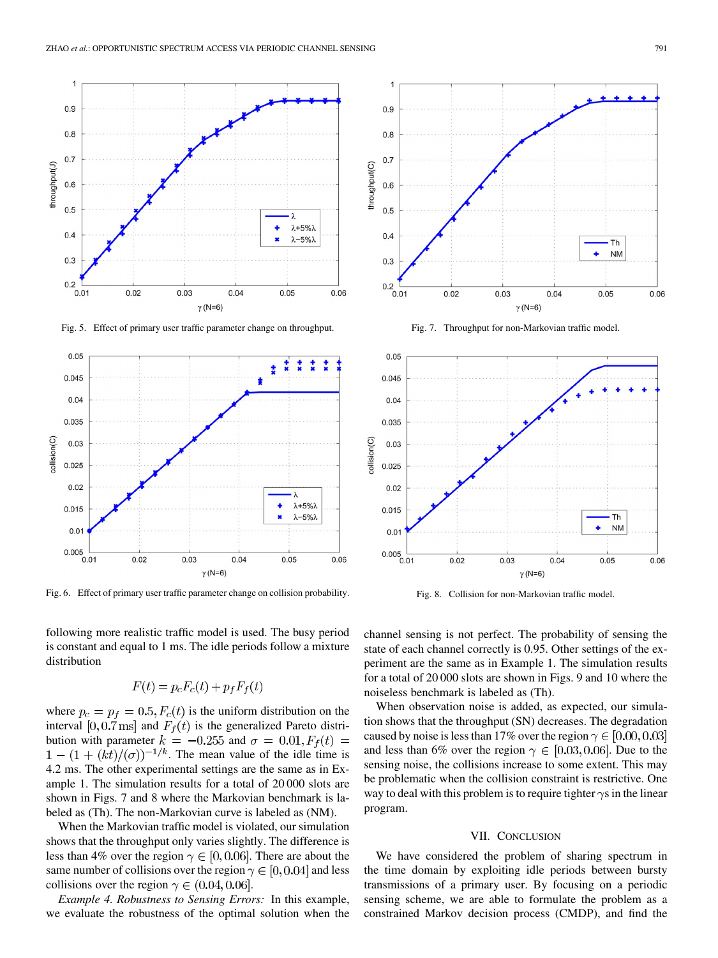

Fig. 5. Effect of primary user traffic parameter change on throughput.



Fig. 6. Effect of primary user traffic parameter change on collision probability.



$$
F(t) = p_c F_c(t) + p_f F_f(t)
$$

distribution

where  $p_c = p_f = 0.5, F_c(t)$  is the uniform distribution on the interval [0, 0.7 ms] and  $F_f(t)$  is the generalized Pareto distribution with parameter  $k = -0.255$  and  $\sigma = 0.01, F_f(t) =$  $1 - (1 + (kt)/(\sigma))^{-1/k}$ . The mean value of the idle time is 4.2 ms. The other experimental settings are the same as in Example 1. The simulation results for a total of 20 000 slots are shown in Figs. 7 and 8 where the Markovian benchmark is labeled as (Th). The non-Markovian curve is labeled as (NM).

When the Markovian traffic model is violated, our simulation shows that the throughput only varies slightly. The difference is less than 4% over the region  $\gamma \in [0, 0.06]$ . There are about the same number of collisions over the region  $\gamma \in [0, 0.04]$  and less collisions over the region  $\gamma \in (0.04, 0.06]$ .

*Example 4. Robustness to Sensing Errors:* In this example, we evaluate the robustness of the optimal solution when the



Fig. 7. Throughput for non-Markovian traffic model.



Fig. 8. Collision for non-Markovian traffic model.

channel sensing is not perfect. The probability of sensing the state of each channel correctly is 0.95. Other settings of the experiment are the same as in Example 1. The simulation results for a total of 20 000 slots are shown in Figs. 9 and 10 where the noiseless benchmark is labeled as (Th).

When observation noise is added, as expected, our simulation shows that the throughput (SN) decreases. The degradation caused by noise is less than 17% over the region  $\gamma \in [0.00, 0.03]$ and less than 6% over the region  $\gamma \in [0.03, 0.06]$ . Due to the sensing noise, the collisions increase to some extent. This may be problematic when the collision constraint is restrictive. One way to deal with this problem is to require tighter  $\gamma s$  in the linear program.

#### VII. CONCLUSION

We have considered the problem of sharing spectrum in the time domain by exploiting idle periods between bursty transmissions of a primary user. By focusing on a periodic sensing scheme, we are able to formulate the problem as a constrained Markov decision process (CMDP), and find the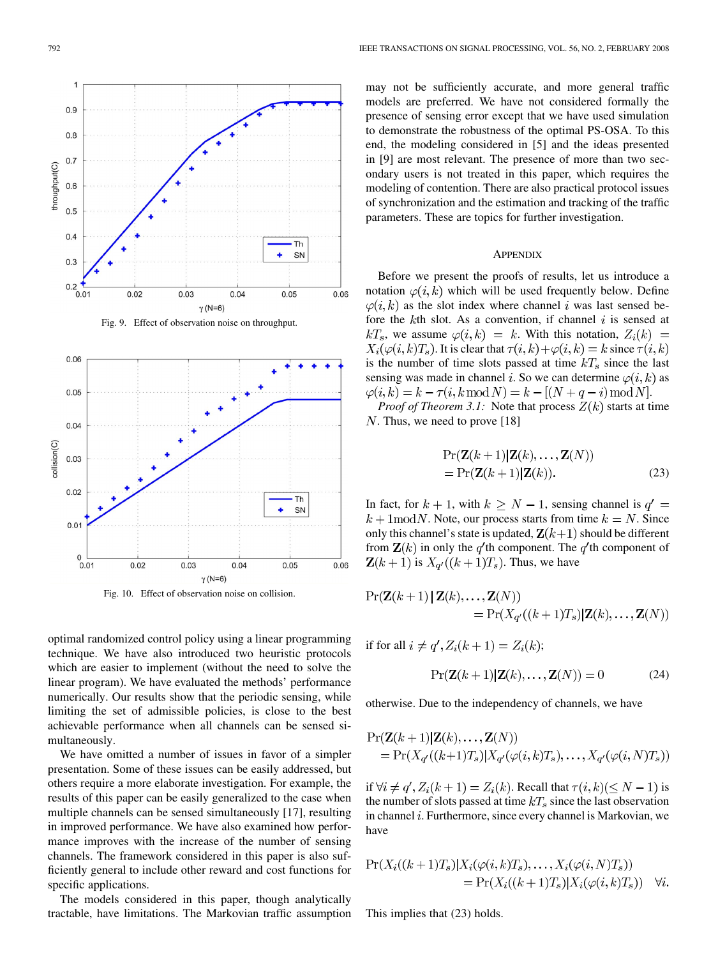

Fig. 9. Effect of observation noise on throughput.



Fig. 10. Effect of observation noise on collision.

optimal randomized control policy using a linear programming technique. We have also introduced two heuristic protocols which are easier to implement (without the need to solve the linear program). We have evaluated the methods' performance numerically. Our results show that the periodic sensing, while limiting the set of admissible policies, is close to the best achievable performance when all channels can be sensed simultaneously.

We have omitted a number of issues in favor of a simpler presentation. Some of these issues can be easily addressed, but others require a more elaborate investigation. For example, the results of this paper can be easily generalized to the case when multiple channels can be sensed simultaneously [17], resulting in improved performance. We have also examined how performance improves with the increase of the number of sensing channels. The framework considered in this paper is also sufficiently general to include other reward and cost functions for specific applications.

The models considered in this paper, though analytically tractable, have limitations. The Markovian traffic assumption may not be sufficiently accurate, and more general traffic models are preferred. We have not considered formally the presence of sensing error except that we have used simulation to demonstrate the robustness of the optimal PS-OSA. To this end, the modeling considered in [5] and the ideas presented in [9] are most relevant. The presence of more than two secondary users is not treated in this paper, which requires the modeling of contention. There are also practical protocol issues of synchronization and the estimation and tracking of the traffic parameters. These are topics for further investigation.

#### APPENDIX

Before we present the proofs of results, let us introduce a notation  $\varphi(i,k)$  which will be used frequently below. Define  $\varphi(i,k)$  as the slot index where channel i was last sensed before the  $k$ th slot. As a convention, if channel  $i$  is sensed at  $kT_s$ , we assume  $\varphi(i,k) = k$ . With this notation,  $Z_i(k) =$  $X_i(\varphi(i,k)T_s)$ . It is clear that  $\tau(i,k) + \varphi(i,k) = k$  since  $\tau(i,k)$ is the number of time slots passed at time  $kT<sub>s</sub>$  since the last sensing was made in channel i. So we can determine  $\varphi(i,k)$  as  $\varphi(i,k) = k - \tau(i,k \mod N) = k - [(N+q-i) \mod N].$ 

*Proof of Theorem 3.1:* Note that process  $Z(k)$  starts at time  $N$ . Thus, we need to prove [18]

$$
Pr(\mathbf{Z}(k+1)|\mathbf{Z}(k),\ldots,\mathbf{Z}(N))
$$
  
= 
$$
Pr(\mathbf{Z}(k+1)|\mathbf{Z}(k)).
$$
 (23)

In fact, for  $k + 1$ , with  $k \geq N - 1$ , sensing channel is  $q' =$  $k + 1 \text{mod} N$ . Note, our process starts from time  $k = N$ . Since only this channel's state is updated,  $\mathbf{Z}(k+1)$  should be different from  $\mathbf{Z}(k)$  in only the q'th component. The q'th component of  $\mathbf{Z}(k+1)$  is  $X_{q'}((k+1)T_s)$ . Thus, we have

$$
Pr(\mathbf{Z}(k+1) | \mathbf{Z}(k),..., \mathbf{Z}(N))
$$
  
= Pr( $X_{q'}((k+1)T_s)$ | $\mathbf{Z}(k),..., \mathbf{Z}(N)$ )

if for all  $i \neq q'$ ,  $Z_i(k+1) = Z_i(k)$ ;

$$
Pr(\mathbf{Z}(k+1)|\mathbf{Z}(k),\dots,\mathbf{Z}(N)) = 0
$$
 (24)

otherwise. Due to the independency of channels, we have

$$
Pr(\mathbf{Z}(k+1)|\mathbf{Z}(k),\ldots,\mathbf{Z}(N))
$$
  
= Pr( $X_{q'}((k+1)T_s)|X_{q'}(\varphi(i,k)T_s),\ldots,X_{q'}(\varphi(i,N)T_s)$ )

if  $\forall i \neq q', Z_i(k+1) = Z_i(k)$ . Recall that  $\tau(i,k) (\leq N-1)$  is the number of slots passed at time  $kT_s$  since the last observation in channel  $i$ . Furthermore, since every channel is Markovian, we have

$$
\Pr(X_i((k+1)T_s)|X_i(\varphi(i,k)T_s),\ldots,X_i(\varphi(i,N)T_s))
$$
  
= 
$$
\Pr(X_i((k+1)T_s)|X_i(\varphi(i,k)T_s)) \quad \forall i.
$$

This implies that (23) holds.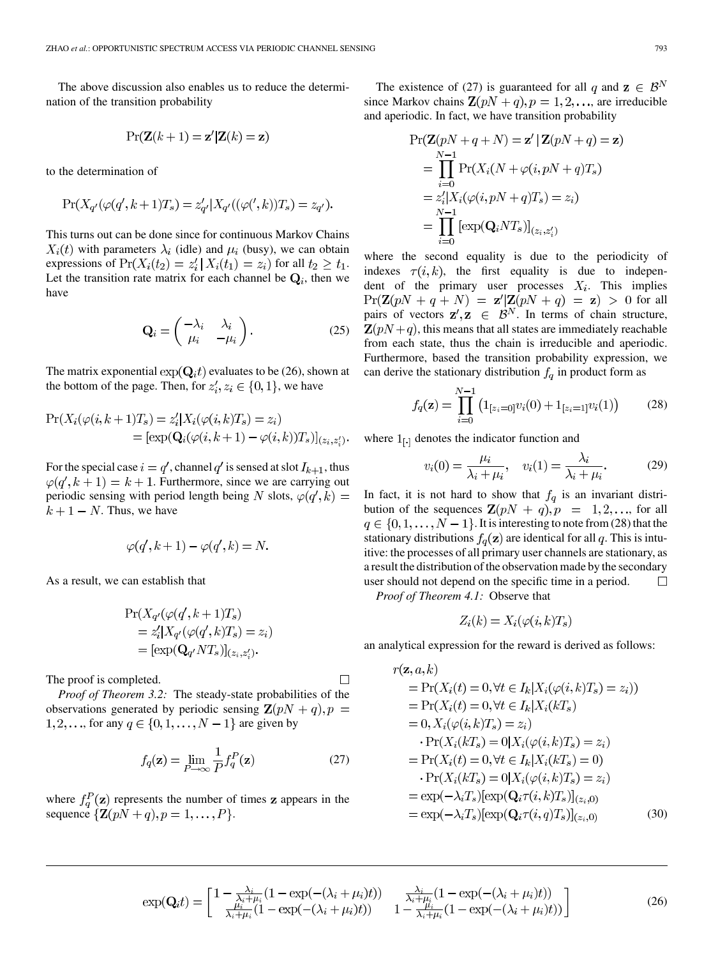The above discussion also enables us to reduce the determination of the transition probability

$$
Pr(\mathbf{Z}(k+1) = \mathbf{z}'|\mathbf{Z}(k) = \mathbf{z})
$$

to the determination of

$$
\Pr(X_{q'}(\varphi(q',k+1)T_s) = z'_{q'}|X_{q'}((\varphi(',k))T_s) = z_{q'}).
$$

This turns out can be done since for continuous Markov Chains  $X_i(t)$  with parameters  $\lambda_i$  (idle) and  $\mu_i$  (busy), we can obtain expressions of  $Pr(X_i(t_2) = z'_i | X_i(t_1) = z_i)$  for all  $t_2 \ge t_1$ . Let the transition rate matrix for each channel be  $Q_i$ , then we have

$$
\mathbf{Q}_i = \begin{pmatrix} -\lambda_i & \lambda_i \\ \mu_i & -\mu_i \end{pmatrix} . \tag{25}
$$

The matrix exponential  $\exp(\mathbf{Q}_i t)$  evaluates to be (26), shown at the bottom of the page. Then, for  $z'_i, z_i \in \{0, 1\}$ , we have

$$
\Pr(X_i(\varphi(i,k+1)T_s) = z'_i | X_i(\varphi(i,k)T_s) = z_i)
$$
  
= 
$$
[\exp(\mathbf{Q}_i(\varphi(i,k+1) - \varphi(i,k))T_s)]_{(z_i,z'_i)}.
$$

For the special case  $i = q'$ , channel q' is sensed at slot  $I_{k+1}$ , thus  $\varphi(q',k+1) = k+1$ . Furthermore, since we are carrying out periodic sensing with period length being N slots,  $\varphi(q',k)$  =  $k + 1 - N$ . Thus, we have

$$
\varphi(q', k+1) - \varphi(q', k) = N.
$$

As a result, we can establish that

$$
Pr(X_{q'}(\varphi(q',k+1)T_s)
$$
  
=  $z'_i|X_{q'}(\varphi(q',k)T_s) = z_i)$   
=  $[exp(\mathbf{Q}_{q'}NT_s)]_{(z_i,z'_i)}$ .

The proof is completed.

*Proof of Theorem 3.2:* The steady-state probabilities of the observations generated by periodic sensing  $\mathbf{Z}(pN + q)$ ,  $p =$  $1, 2, \ldots$ , for any  $q \in \{0, 1, \ldots, N - 1\}$  are given by

$$
f_q(\mathbf{z}) = \lim_{P \to \infty} \frac{1}{P} f_q^P(\mathbf{z})
$$
 (27)

where  $f_q^P(\mathbf{z})$  represents the number of times  $\mathbf{z}$  appears in the sequence  $\{Z(pN+q), p=1,\ldots,P\}.$ 

The existence of (27) is guaranteed for all q and  $z \in \mathcal{B}^N$ since Markov chains  $\mathbf{Z}(pN+q), p = 1, 2, \dots$ , are irreducible and aperiodic. In fact, we have transition probability

$$
\Pr(\mathbf{Z}(pN + q + N) = \mathbf{z}' | \mathbf{Z}(pN + q) = \mathbf{z})
$$
\n
$$
= \prod_{i=0}^{N-1} \Pr(X_i(N + \varphi(i, pN + q)T_s)
$$
\n
$$
= z'_i | X_i(\varphi(i, pN + q)T_s) = z_i)
$$
\n
$$
= \prod_{i=0}^{N-1} [\exp(\mathbf{Q}_i NT_s)]_{(z_i, z'_i)}
$$

where the second equality is due to the periodicity of indexes  $\tau(i,k)$ , the first equality is due to independent of the primary user processes  $X_i$ . This implies  $Pr(Z(pN + q + N) = z'|Z(pN + q) = z) > 0$  for all pairs of vectors  $\mathbf{z}', \mathbf{z} \in \mathcal{B}^{N}$ . In terms of chain structure,  $\mathbf{Z}(pN+q)$ , this means that all states are immediately reachable from each state, thus the chain is irreducible and aperiodic. Furthermore, based the transition probability expression, we can derive the stationary distribution  $f_q$  in product form as

$$
f_q(\mathbf{z}) = \prod_{i=0}^{N-1} (1_{[z_i=0]}v_i(0) + 1_{[z_i=1]}v_i(1))
$$
 (28)

where  $1_{\lceil \cdot \rceil}$  denotes the indicator function and

$$
v_i(0) = \frac{\mu_i}{\lambda_i + \mu_i}, \quad v_i(1) = \frac{\lambda_i}{\lambda_i + \mu_i}.
$$
 (29)

In fact, it is not hard to show that  $f_q$  is an invariant distribution of the sequences  $\mathbf{Z}(pN + q), p = 1, 2, \dots$ , for all  $q \in \{0, 1, \ldots, N-1\}$ . It is interesting to note from (28) that the stationary distributions  $f_q(z)$  are identical for all q. This is intuitive: the processes of all primary user channels are stationary, as a result the distribution of the observation made by the secondary user should not depend on the specific time in a period.  $\Box$ 

*Proof of Theorem 4.1:* Observe that

$$
Z_i(k) = X_i(\varphi(i,k)T_s)
$$

an analytical expression for the reward is derived as follows:

$$
r(\mathbf{z}, a, k)
$$
  
= Pr(X<sub>i</sub>(t) = 0, \forall t \in I\_k | X<sub>i</sub>(\varphi(i, k)T<sub>s</sub>) = z<sub>i</sub>))  
= Pr(X<sub>i</sub>(t) = 0, \forall t \in I\_k | X<sub>i</sub>(kT<sub>s</sub>)  
= 0, X<sub>i</sub>(\varphi(i, k)T<sub>s</sub>) = z<sub>i</sub>)  
Pr(X<sub>i</sub>(kT<sub>s</sub>) = 0 | X<sub>i</sub>(\varphi(i, k)T<sub>s</sub>) = z<sub>i</sub>)  
= Pr(X<sub>i</sub>(t) = 0, \forall t \in I\_k | X<sub>i</sub>(kT<sub>s</sub>) = 0)  
Pr(X<sub>i</sub>(kT<sub>s</sub>) = 0 | X<sub>i</sub>(\varphi(i, k)T<sub>s</sub>) = z<sub>i</sub>)  
= exp(-\lambda<sub>i</sub>T<sub>s</sub>)[exp(\mathbf{Q}<sub>i</sub> \tau(i, k)T<sub>s</sub>)]\_{(z<sub>i</sub>,0)}  
= exp(-\lambda<sub>i</sub>T<sub>s</sub>)[exp(\mathbf{Q}<sub>i</sub> \tau(i, q)T<sub>s</sub>)]\_{(z<sub>i</sub>,0)}(30)

$$
\exp(\mathbf{Q}_i t) = \begin{bmatrix} 1 - \frac{\lambda_i}{\lambda_i + \mu_i} (1 - \exp(-(\lambda_i + \mu_i)t)) & \frac{\lambda_i}{\lambda_i + \mu_i} (1 - \exp(-(\lambda_i + \mu_i)t)) \\ \frac{\mu_i}{\lambda_i + \mu_i} (1 - \exp(-(\lambda_i + \mu_i)t)) & 1 - \frac{\mu_i}{\lambda_i + \mu_i} (1 - \exp(-(\lambda_i + \mu_i)t)) \end{bmatrix}
$$
(26)

 $\Box$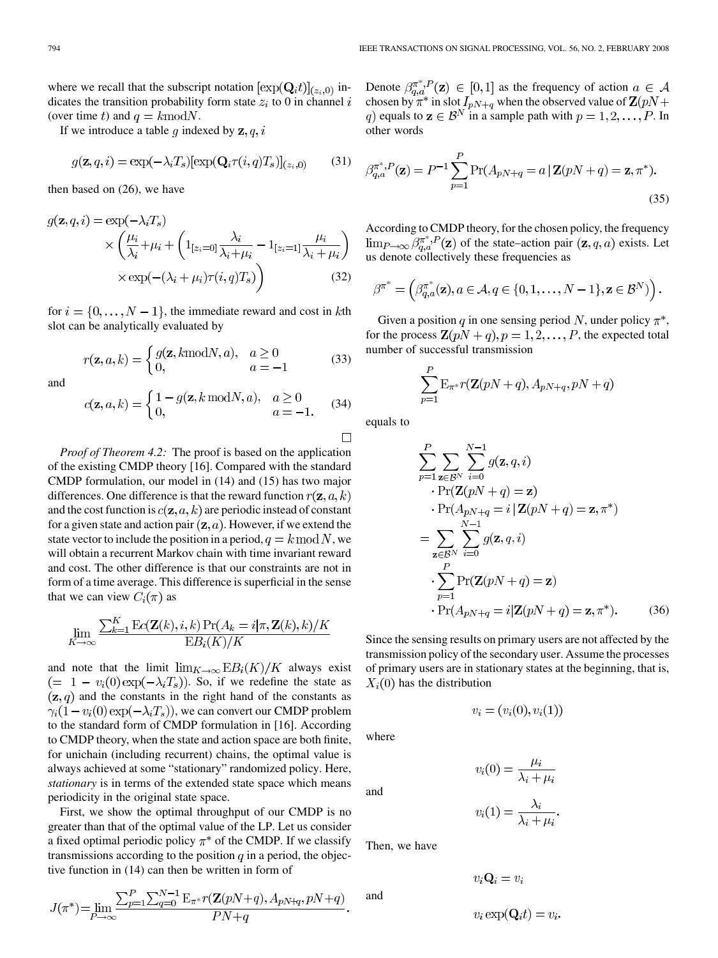where we recall that the subscript notation  $[\exp(\mathbf{Q}_it)]_{(z_i,0)}$  indicates the transition probability form state  $z_i$  to 0 in channel i (over time t) and  $q = k \text{mod} N$ .

If we introduce a table g indexed by  $z, q, i$ 

$$
g(\mathbf{z}, q, i) = \exp(-\lambda_i T_s) [\exp(\mathbf{Q}_i \tau(i, q) T_s)]_{(z_i, 0)}
$$
(31)

then based on (26), we have

$$
g(\mathbf{z}, q, i) = \exp(-\lambda_i T_s)
$$
  
 
$$
\times \left(\frac{\mu_i}{\lambda_i} + \mu_i + \left(1_{[z_i=0]}\frac{\lambda_i}{\lambda_i + \mu_i} - 1_{[z_i=1]}\frac{\mu_i}{\lambda_i + \mu_i}\right)\right)
$$
  
 
$$
\times \exp(-(\lambda_i + \mu_i)\tau(i, q)T_s)
$$
(32)

for  $i = \{0, \ldots, N-1\}$ , the immediate reward and cost in kth slot can be analytically evaluated by

$$
r(\mathbf{z}, a, k) = \begin{cases} g(\mathbf{z}, k \mod N, a), & a \ge 0 \\ 0, & a = -1 \end{cases}
$$
(33)

and

$$
c(\mathbf{z}, a, k) = \begin{cases} 1 - g(\mathbf{z}, k \bmod N, a), & a \ge 0 \\ 0, & a = -1. \end{cases}
$$
 (34)

 $\Box$ 

*Proof of Theorem 4.2:* The proof is based on the application of the existing CMDP theory [16]. Compared with the standard CMDP formulation, our model in (14) and (15) has two major differences. One difference is that the reward function  $r(\mathbf{z}, a, k)$ and the cost function is  $c(\mathbf{z}, a, k)$  are periodic instead of constant for a given state and action pair  $(z, a)$ . However, if we extend the state vector to include the position in a period,  $q = k \mod N$ , we will obtain a recurrent Markov chain with time invariant reward and cost. The other difference is that our constraints are not in form of a time average. This difference is superficial in the sense that we can view  $C_i(\pi)$  as

$$
\lim_{K \to \infty} \frac{\sum_{k=1}^{K} \mathcal{E}(Z(k), i, k) \Pr(A_k = i | \pi, \mathbf{Z}(k), k) / K}{\mathcal{E}B_i(K) / K}
$$

and note that the limit  $\lim_{K\to\infty} EB_i(K)/K$  always exist  $(= 1 - v_i(0) \exp(-\lambda_i T_s))$ . So, if we redefine the state as  $(z, q)$  and the constants in the right hand of the constants as  $\gamma_i(1-v_i(0)\exp(-\lambda_i T_s))$ , we can convert our CMDP problem to the standard form of CMDP formulation in [16]. According to CMDP theory, when the state and action space are both finite, for unichain (including recurrent) chains, the optimal value is always achieved at some "stationary" randomized policy. Here, *stationary* is in terms of the extended state space which means periodicity in the original state space.

First, we show the optimal throughput of our CMDP is no greater than that of the optimal value of the LP. Let us consider a fixed optimal periodic policy  $\pi^*$  of the CMDP. If we classify transmissions according to the position q in a period, the objective function in (14) can then be written in form of

$$
J(\pi^*) = \lim_{P \to \infty} \frac{\sum_{p=1}^P \sum_{q=0}^{N-1} E_{\pi^*} r(\mathbf{Z}(pN+q), A_{pN+q}, pN+q)}{PN+q}.
$$

Denote  $\beta_{a,a}^{\pi^*,P}(\mathbf{z}) \in [0,1]$  as the frequency of action chosen by  $\pi^*$  in slot  $I_{pN+q}$  when the observed value of q) equals to  $z \in \mathcal{B}^N$  in a sample path with  $p = 1, 2, \ldots, P$ . In other words

$$
\beta_{q,a}^{\pi^*,P}(\mathbf{z}) = P^{-1} \sum_{p=1}^P \Pr(A_{pN+q} = a \,|\, \mathbf{Z}(pN+q) = \mathbf{z}, \pi^*).
$$
\n(35)

According to CMDP theory, for the chosen policy, the frequency  $\lim_{P\to\infty}\beta_{q,a}^{\pi^*,P}(\mathbf{z})$  of the state–action pair  $(\mathbf{z}, q, a)$  exists. Let us denote collectively these frequencies as

$$
\beta^{\pi^*} = \left(\beta_{q,a}^{\pi^*}(\mathbf{z}), a \in \mathcal{A}, q \in \{0,1,\ldots,N-1\}, \mathbf{z} \in \mathcal{B}^N)\right)
$$

Given a position q in one sensing period N, under policy  $\pi^*$ , for the process  $\mathbf{Z}(pN+q), p = 1, 2, ..., P$ , the expected total number of successful transmission

$$
\sum_{p=1}^{P} \mathbf{E}_{\pi^*} r(\mathbf{Z}(pN+q), A_{pN+q}, pN+q)
$$

equals to

$$
\sum_{p=1}^{P} \sum_{\mathbf{z} \in \mathcal{B}^{N}} \sum_{i=0}^{N-1} g(\mathbf{z}, q, i)
$$
  
\n
$$
\Pr(\mathbf{Z}(pN + q) = \mathbf{z})
$$
  
\n
$$
\Pr(A_{pN+q} = i | \mathbf{Z}(pN + q) = \mathbf{z}, \pi^{*})
$$
  
\n
$$
= \sum_{\mathbf{z} \in \mathcal{B}^{N}} \sum_{i=0}^{N-1} g(\mathbf{z}, q, i)
$$
  
\n
$$
\sum_{p=1}^{P} \Pr(\mathbf{Z}(pN + q) = \mathbf{z})
$$
  
\n
$$
\Pr(A_{pN+q} = i | \mathbf{Z}(pN + q) = \mathbf{z}, \pi^{*}).
$$
 (36)

Since the sensing results on primary users are not affected by the transmission policy of the secondary user. Assume the processes of primary users are in stationary states at the beginning, that is,  $X_i(0)$  has the distribution

$$
v_i = (v_i(0), v_i(1))
$$

where

and

and

$$
v_i(0) = \frac{\mu_i}{\lambda_i + \mu_i}
$$

 $\overline{1}$ 

$$
v_i(1) = \frac{\lambda_i}{\lambda_i + \mu_i}.
$$

Then, we have

$$
v_i\mathbf{Q}_i=v_i
$$

$$
v_i \exp(\mathbf{Q}_i t) = v_i
$$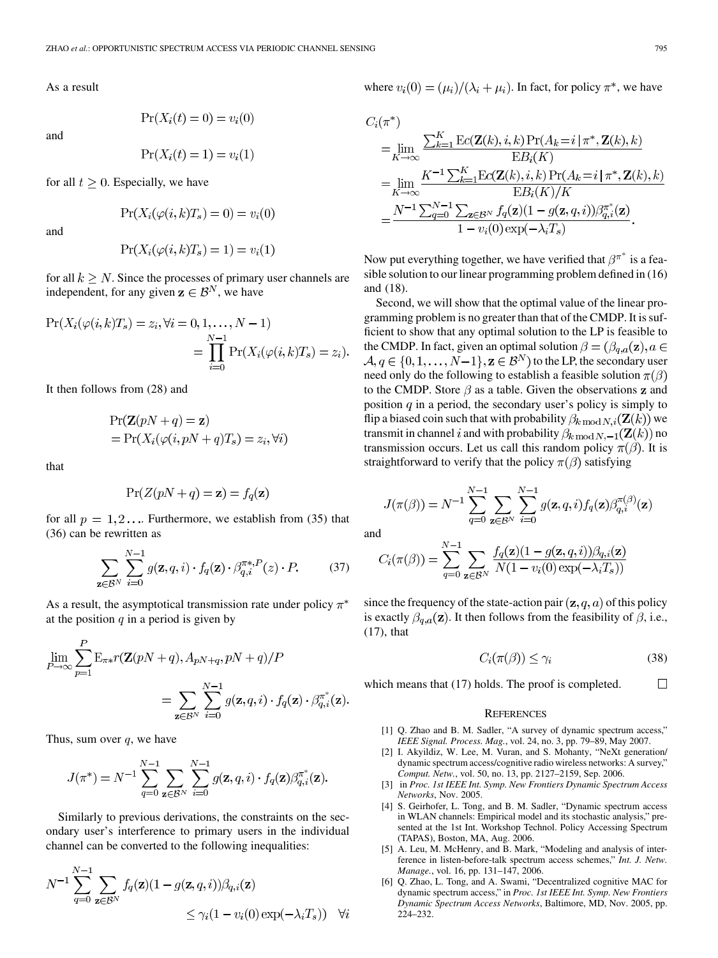As a result

$$
Pr(X_i(t) = 0) = v_i(0)
$$

and

$$
\mathcal{L}\left(\mathbf{V}\left(t\right) - 1\right) \tag{1}
$$

$$
\Pr(X_i(t) = 1) = v_i(1)
$$

for all  $t \geq 0$ . Especially, we have

$$
Pr(X_i(\varphi(i,k)T_s) = 0) = v_i(0)
$$

and

$$
Pr(X_i(\varphi(i,k)T_s) = 1) = v_i(1)
$$

for all  $k \geq N$ . Since the processes of primary user channels are independent, for any given  $z \in \mathcal{B}^N$ , we have

$$
Pr(X_i(\varphi(i,k)T_s) = z_i, \forall i = 0, 1, ..., N - 1)
$$
  
= 
$$
\prod_{i=0}^{N-1} Pr(X_i(\varphi(i,k)T_s) = z_i).
$$

It then follows from (28) and

$$
Pr(\mathbf{Z}(pN + q) = \mathbf{z})
$$
  
=  $Pr(X_i(\varphi(i, pN + q)T_s) = z_i, \forall i)$ 

that

$$
Pr(Z(pN + q) = \mathbf{z}) = f_q(\mathbf{z})
$$

for all  $p = 1, 2, \dots$  Furthermore, we establish from (35) that (36) can be rewritten as

$$
\sum_{\mathbf{z}\in\mathcal{B}^N}\sum_{i=0}^{N-1}g(\mathbf{z},q,i)\cdot f_q(\mathbf{z})\cdot\beta_{q,i}^{\pi^*,P}(z)\cdot P. \tag{37}
$$

As a result, the asymptotical transmission rate under policy  $\pi^*$ at the position  $q$  in a period is given by

$$
\lim_{P \to \infty} \sum_{p=1}^{P} \mathbf{E}_{\pi \ast} r(\mathbf{Z}(pN+q), A_{pN+q}, pN+q)/P
$$
  
= 
$$
\sum_{\mathbf{z} \in \mathcal{B}^N} \sum_{i=0}^{N-1} g(\mathbf{z}, q, i) \cdot f_q(\mathbf{z}) \cdot \beta_{q,i}^{\pi^*}(\mathbf{z}).
$$

Thus, sum over  $q$ , we have

$$
J(\pi^*) = N^{-1} \sum_{q=0}^{N-1} \sum_{\mathbf{z} \in \mathcal{B}^N} \sum_{i=0}^{N-1} g(\mathbf{z}, q, i) \cdot f_q(\mathbf{z}) \beta_{q, i}^{\pi^*}(\mathbf{z}).
$$

Similarly to previous derivations, the constraints on the secondary user's interference to primary users in the individual channel can be converted to the following inequalities:

$$
N^{-1} \sum_{q=0}^{N-1} \sum_{\mathbf{z} \in \mathcal{B}^N} f_q(\mathbf{z}) (1 - g(\mathbf{z}, q, i)) \beta_{q,i}(\mathbf{z})
$$
  

$$
\leq \gamma_i (1 - v_i(0) \exp(-\lambda_i T_s)) \quad \forall i
$$

where  $v_i(0) = (\mu_i)/(\lambda_i + \mu_i)$ . In fact, for policy  $\pi^*$ , we have

$$
C_i(\pi^*)
$$
  
=  $\lim_{K \to \infty} \frac{\sum_{k=1}^{K} \text{Ec}(\mathbf{Z}(k), i, k) \Pr(A_k = i | \pi^*, \mathbf{Z}(k), k)}{\text{E}B_i(K)}$   
=  $\lim_{K \to \infty} \frac{K^{-1} \sum_{k=1}^{K} \text{Ec}(\mathbf{Z}(k), i, k) \Pr(A_k = i | \pi^*, \mathbf{Z}(k), k)}{\text{E}B_i(K)/K}$   
=  $\frac{N^{-1} \sum_{q=0}^{N-1} \sum_{\mathbf{z} \in \mathcal{B}^N} f_q(\mathbf{z})(1 - g(\mathbf{z}, q, i)) \beta_{q,i}^*(\mathbf{z})}{1 - v_i(0) \exp(-\lambda_i T_s)}$ .

Now put everything together, we have verified that  $\beta^{\pi^*}$  is a feasible solution to our linear programming problem defined in (16) and (18).

Second, we will show that the optimal value of the linear programming problem is no greater than that of the CMDP. It is sufficient to show that any optimal solution to the LP is feasible to the CMDP. In fact, given an optimal solution  $\beta = (\beta_{a,a}(\mathbf{z}), a \in$  $\mathcal{A}, q \in \{0, 1, \ldots, N-1\}, \mathbf{z} \in \mathcal{B}^N$  to the LP, the secondary user need only do the following to establish a feasible solution  $\pi(\beta)$ to the CMDP. Store  $\beta$  as a table. Given the observations **z** and position  $q$  in a period, the secondary user's policy is simply to flip a biased coin such that with probability  $\beta_{k \mod N,i}(\mathbf{Z}(k))$  we transmit in channel i and with probability  $\beta_{k \bmod N,-1}(\mathbf{Z}(k))$  no transmission occurs. Let us call this random policy  $\pi(\beta)$ . It is straightforward to verify that the policy  $\pi(\beta)$  satisfying

$$
J(\pi(\beta)) = N^{-1}\sum_{q=0}^{N-1}\sum_{\mathbf{z}\in\mathcal{B}^N}\sum_{i=0}^{N-1}g(\mathbf{z},q,i)f_q(\mathbf{z})\beta^{\pi(\beta)}_{q,i}(\mathbf{z})
$$

and

$$
C_i(\pi(\beta)) = \sum_{q=0}^{N-1} \sum_{\mathbf{z} \in \mathcal{B}^N} \frac{f_q(\mathbf{z})(1 - g(\mathbf{z}, q, i))\beta_{q,i}(\mathbf{z})}{N(1 - v_i(0)\exp(-\lambda_i T_s))}
$$

since the frequency of the state-action pair  $(z, q, a)$  of this policy is exactly  $\beta_{q,a}(\mathbf{z})$ . It then follows from the feasibility of  $\beta$ , i.e., (17), that

$$
C_i(\pi(\beta)) \le \gamma_i \tag{38}
$$

which means that (17) holds. The proof is completed.  $\Box$ 

#### **REFERENCES**

- [1] Q. Zhao and B. M. Sadler, "A survey of dynamic spectrum access," *IEEE Signal. Process. Mag.*, vol. 24, no. 3, pp. 79–89, May 2007.
- [2] I. Akyildiz, W. Lee, M. Vuran, and S. Mohanty, "NeXt generation/ dynamic spectrum access/cognitive radio wireless networks: A survey," *Comput. Netw.*, vol. 50, no. 13, pp. 2127–2159, Sep. 2006.
- [3] in *Proc. 1st IEEE Int. Symp. New Frontiers Dynamic Spectrum Access Networks*, Nov. 2005.
- [4] S. Geirhofer, L. Tong, and B. M. Sadler, "Dynamic spectrum access in WLAN channels: Empirical model and its stochastic analysis," presented at the 1st Int. Workshop Technol. Policy Accessing Spectrum (TAPAS), Boston, MA, Aug. 2006.
- [5] A. Leu, M. McHenry, and B. Mark, "Modeling and analysis of interference in listen-before-talk spectrum access schemes," *Int. J. Netw. Manage.*, vol. 16, pp. 131–147, 2006.
- [6] Q. Zhao, L. Tong, and A. Swami, "Decentralized cognitive MAC for dynamic spectrum access," in *Proc. 1st IEEE Int. Symp. New Frontiers Dynamic Spectrum Access Networks*, Baltimore, MD, Nov. 2005, pp. 224–232.